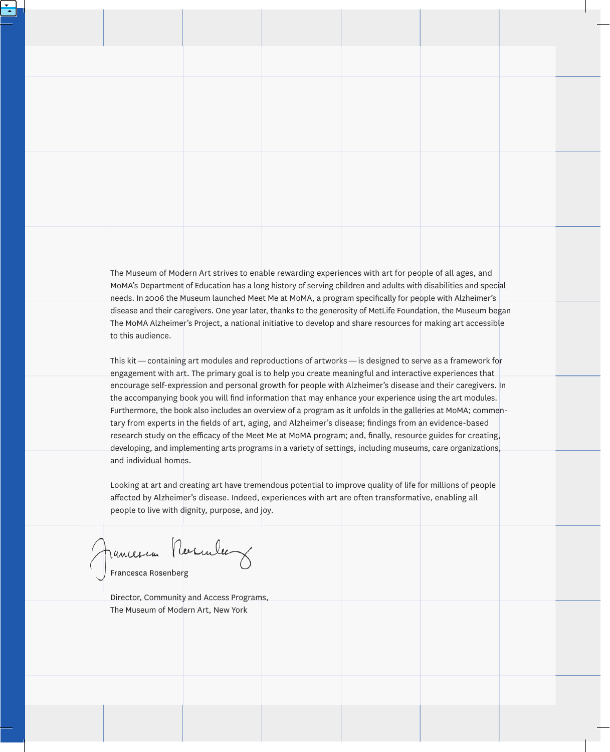The Museum of Modern Art strives to enable rewarding experiences with art for people of all ages, and MoMA's Department of Education has a long history of serving children and adults with disabilities and special needs. In 2006 the Museum launched Meet Me at MoMA, a program specifically for people with Alzheimer's disease and their caregivers. one year later, thanks to the generosity of MetLife Foundation, the Museum began The MoMA Alzheimer's Project, a national initiative to develop and share resources for making art accessible to this audience.

This kit — containing art modules and reproductions of artworks — is designed to serve as a framework for engagement with art. The primary goal is to help you create meaningful and interactive experiences that encourage self-expression and personal growth for people with Alzheimer's disease and their caregivers. In the accompanying book you will find information that may enhance your experience using the art modules. Furthermore, the book also includes an overview of a program as it unfolds in the galleries at MoMA; commentary from experts in the fields of art, aging, and Alzheimer's disease; findings from an evidence-based research study on the efficacy of the Meet Me at MoMA program; and, finally, resource guides for creating, developing, and implementing arts programs in a variety of settings, including museums, care organizations, and individual homes.

Looking at art and creating art have tremendous potential to improve quality of life for millions of people affected by Alzheimer's disease. Indeed, experiences with art are often transformative, enabling all people to live with dignity, purpose, and joy.

Jancescon Resculer

Francesca Rosenberg

Director, Community and Access Programs, The Museum of Modern Art, new York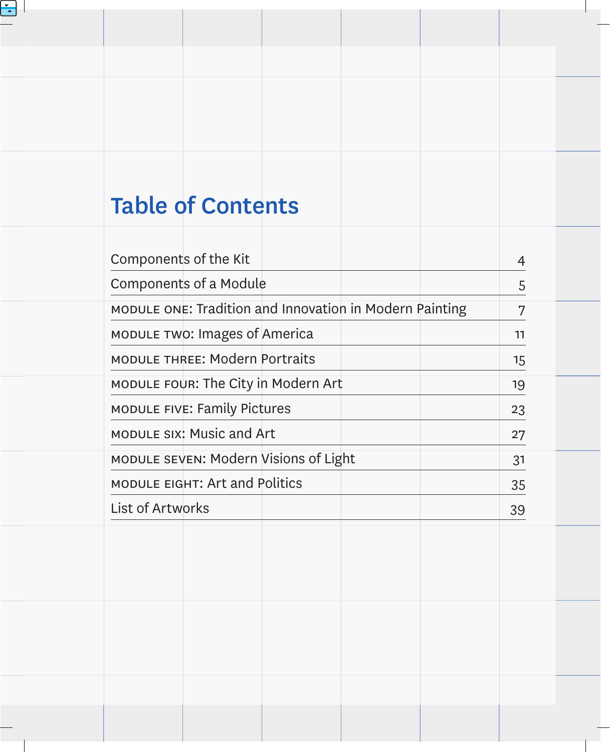# Table of Contents

| Components of the Kit                                   |                                       |  |  |  |    |
|---------------------------------------------------------|---------------------------------------|--|--|--|----|
|                                                         | <b>Components of a Module</b>         |  |  |  | 5  |
| MODULE ONE: Tradition and Innovation in Modern Painting |                                       |  |  |  | 7  |
|                                                         | MODULE TWO: Images of America         |  |  |  | 11 |
|                                                         | <b>MODULE THREE: Modern Portraits</b> |  |  |  | 15 |
| MODULE FOUR: The City in Modern Art                     |                                       |  |  |  | 19 |
|                                                         | <b>MODULE FIVE: Family Pictures</b>   |  |  |  | 23 |
|                                                         | MODULE SIX: Music and Art             |  |  |  | 27 |
| MODULE SEVEN: Modern Visions of Light                   |                                       |  |  |  | 31 |
|                                                         | <b>MODULE EIGHT: Art and Politics</b> |  |  |  | 35 |
| <b>List of Artworks</b>                                 |                                       |  |  |  | 39 |
|                                                         |                                       |  |  |  |    |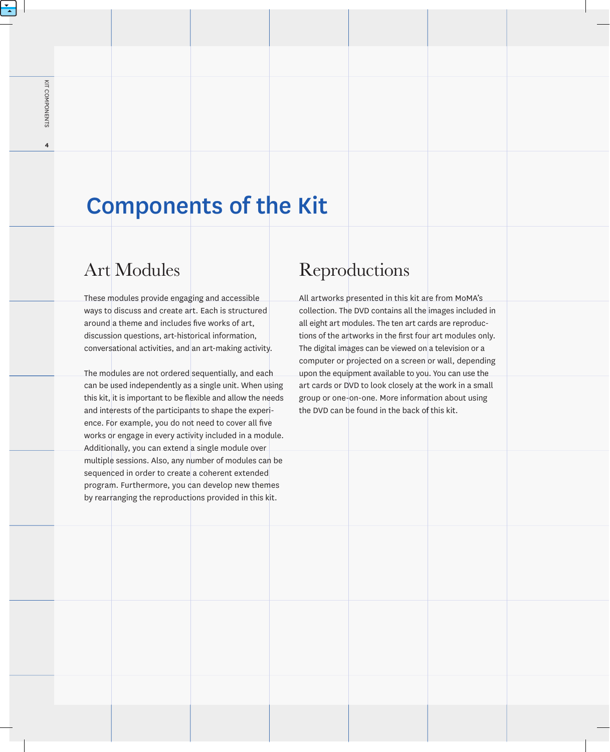$\overline{\mathbf{4}}$ 

## Components of the Kit

### Art Modules

These modules provide engaging and accessible ways to discuss and create art. Each is structured around a theme and includes five works of art, discussion questions, art-historical information, conversational activities, and an art-making activity.

The modules are not ordered sequentially, and each can be used independently as a single unit. When using this kit, it is important to be flexible and allow the needs and interests of the participants to shape the experience. For example, you do not need to cover all five works or engage in every activity included in a module. Additionally, you can extend a single module over multiple sessions. Also, any number of modules can be sequenced in order to create a coherent extended program. Furthermore, you can develop new themes by rearranging the reproductions provided in this kit.

### Reproductions

All artworks presented in this kit are from MoMA's collection. The DVD contains all the images included in all eight art modules. The ten art cards are reproductions of the artworks in the first four art modules only. The digital images can be viewed on a television or a computer or projected on a screen or wall, depending upon the equipment available to you. You can use the art cards or DVD to look closely at the work in a small group or one-on-one. More information about using the DVD can be found in the back of this kit.